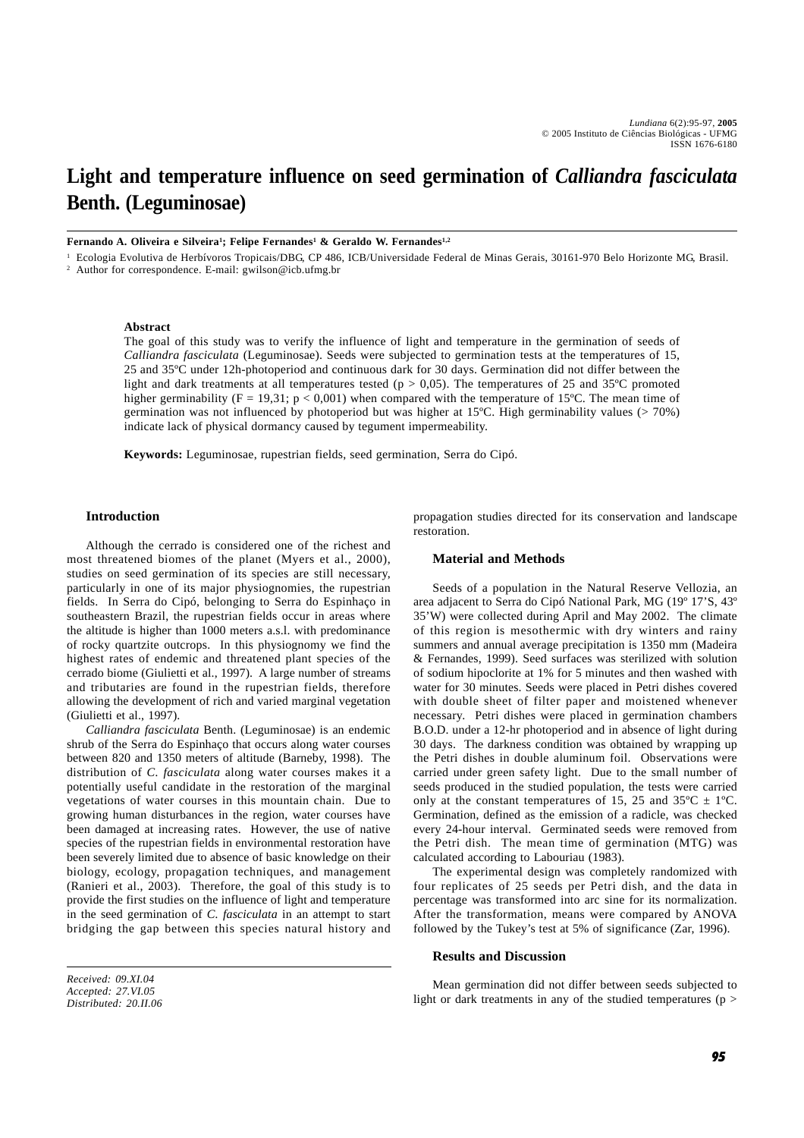# **Light and temperature influence on seed germination of** *Calliandra fasciculata* **Benth. (Leguminosae)**

**Fernando A. Oliveira e Silveira1 ; Felipe Fernandes1 & Geraldo W. Fernandes1,2**

<sup>1</sup> Ecologia Evolutiva de Herbívoros Tropicais/DBG, CP 486, ICB/Universidade Federal de Minas Gerais, 30161-970 Belo Horizonte MG, Brasil.

<sup>2</sup> Author for correspondence. E-mail: gwilson@icb.ufmg.br

## **Abstract**

The goal of this study was to verify the influence of light and temperature in the germination of seeds of *Calliandra fasciculata* (Leguminosae). Seeds were subjected to germination tests at the temperatures of 15, 25 and 35ºC under 12h-photoperiod and continuous dark for 30 days. Germination did not differ between the light and dark treatments at all temperatures tested ( $p > 0.05$ ). The temperatures of 25 and 35°C promoted higher germinability (F = 19,31; p < 0,001) when compared with the temperature of 15°C. The mean time of germination was not influenced by photoperiod but was higher at 15ºC. High germinability values (> 70%) indicate lack of physical dormancy caused by tegument impermeability.

**Keywords:** Leguminosae, rupestrian fields, seed germination, Serra do Cipó.

## **Introduction**

Although the cerrado is considered one of the richest and most threatened biomes of the planet (Myers et al., 2000), studies on seed germination of its species are still necessary, particularly in one of its major physiognomies, the rupestrian fields. In Serra do Cipó, belonging to Serra do Espinhaço in southeastern Brazil, the rupestrian fields occur in areas where the altitude is higher than 1000 meters a.s.l. with predominance of rocky quartzite outcrops. In this physiognomy we find the highest rates of endemic and threatened plant species of the cerrado biome (Giulietti et al., 1997). A large number of streams and tributaries are found in the rupestrian fields, therefore allowing the development of rich and varied marginal vegetation (Giulietti et al., 1997).

*Calliandra fasciculata* Benth. (Leguminosae) is an endemic shrub of the Serra do Espinhaço that occurs along water courses between 820 and 1350 meters of altitude (Barneby, 1998). The distribution of *C. fasciculata* along water courses makes it a potentially useful candidate in the restoration of the marginal vegetations of water courses in this mountain chain. Due to growing human disturbances in the region, water courses have been damaged at increasing rates. However, the use of native species of the rupestrian fields in environmental restoration have been severely limited due to absence of basic knowledge on their biology, ecology, propagation techniques, and management (Ranieri et al., 2003). Therefore, the goal of this study is to provide the first studies on the influence of light and temperature in the seed germination of *C. fasciculata* in an attempt to start bridging the gap between this species natural history and propagation studies directed for its conservation and landscape restoration.

## **Material and Methods**

Seeds of a population in the Natural Reserve Vellozia, an area adjacent to Serra do Cipó National Park, MG (19º 17'S, 43º 35'W) were collected during April and May 2002. The climate of this region is mesothermic with dry winters and rainy summers and annual average precipitation is 1350 mm (Madeira & Fernandes, 1999). Seed surfaces was sterilized with solution of sodium hipoclorite at 1% for 5 minutes and then washed with water for 30 minutes. Seeds were placed in Petri dishes covered with double sheet of filter paper and moistened whenever necessary. Petri dishes were placed in germination chambers B.O.D. under a 12-hr photoperiod and in absence of light during 30 days. The darkness condition was obtained by wrapping up the Petri dishes in double aluminum foil. Observations were carried under green safety light. Due to the small number of seeds produced in the studied population, the tests were carried only at the constant temperatures of 15, 25 and  $35^{\circ}C \pm 1^{\circ}C$ . Germination, defined as the emission of a radicle, was checked every 24-hour interval. Germinated seeds were removed from the Petri dish. The mean time of germination (MTG) was calculated according to Labouriau (1983).

The experimental design was completely randomized with four replicates of 25 seeds per Petri dish, and the data in percentage was transformed into arc sine for its normalization. After the transformation, means were compared by ANOVA followed by the Tukey's test at 5% of significance (Zar, 1996).

## **Results and Discussion**

*Received: 09.XI.04 Accepted: 27.VI.05 Distributed: 20.II.06*

Mean germination did not differ between seeds subjected to light or dark treatments in any of the studied temperatures ( $p >$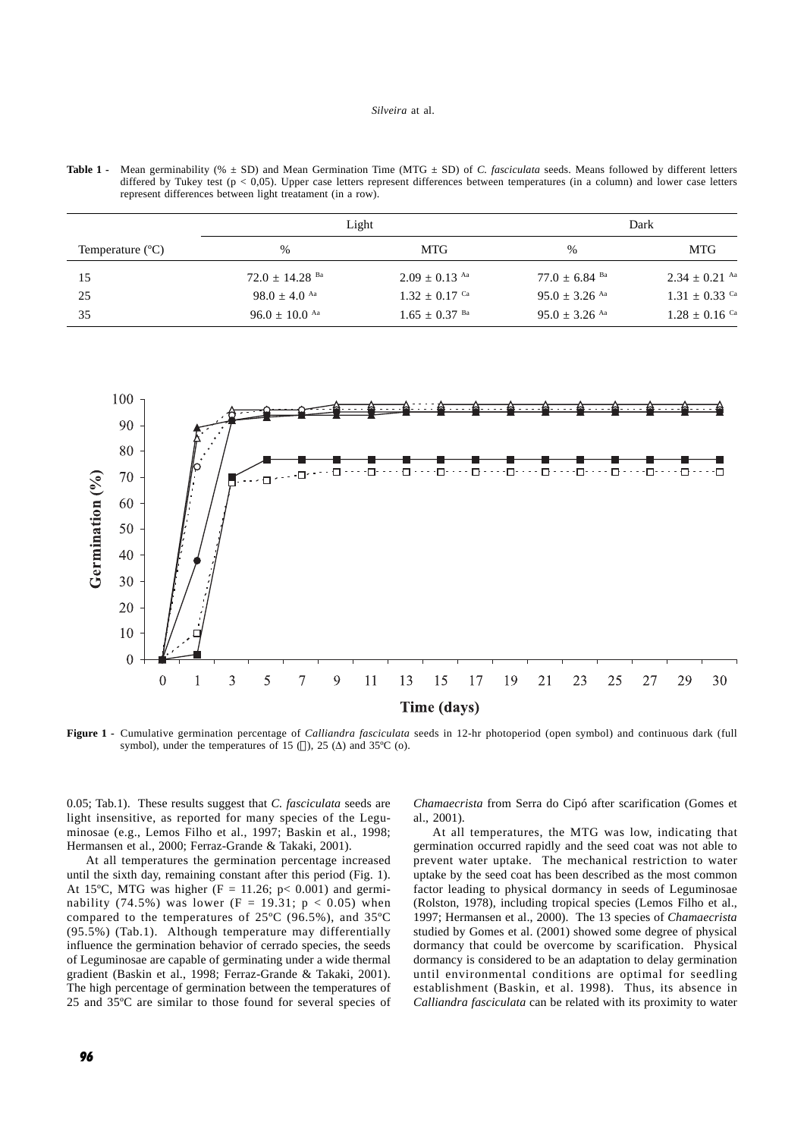| Temperature $(C)$ | Light                        |                             | Dark                        |                             |
|-------------------|------------------------------|-----------------------------|-----------------------------|-----------------------------|
|                   | $\%$                         | MTG.                        | %                           | MTG                         |
| 15                | $72.0 + 14.28$ <sup>Ba</sup> | $2.09 + 0.13$ <sup>Aa</sup> | $77.0 + 6.84$ <sup>Ba</sup> | $2.34 + 0.21$ Aa            |
| 25                | $98.0 + 4.0$ <sup>Aa</sup>   | $1.32 + 0.17$ <sup>Ca</sup> | $95.0 + 3.26$ <sup>Aa</sup> | $1.31 + 0.33$ Ca            |
| 35                | $96.0 + 10.0$ <sup>Aa</sup>  | $1.65 + 0.37$ <sup>Ba</sup> | $95.0 + 3.26$ <sup>Aa</sup> | $1.28 + 0.16$ <sup>Ca</sup> |

Table 1 - Mean germinability (%  $\pm$  SD) and Mean Germination Time (MTG  $\pm$  SD) of *C. fasciculata* seeds. Means followed by different letters differed by Tukey test (p < 0,05). Upper case letters represent differences between temperatures (in a column) and lower case letters represent differences between light treatament (in a row).



**Figure 1 -** Cumulative germination percentage of *Calliandra fasciculata* seeds in 12-hr photoperiod (open symbol) and continuous dark (full symbol), under the temperatures of 15 ( $\Box$ ), 25 ( $\Delta$ ) and 35°C (o).

0.05; Tab.1). These results suggest that *C. fasciculata* seeds are light insensitive, as reported for many species of the Leguminosae (e.g., Lemos Filho et al., 1997; Baskin et al., 1998; Hermansen et al., 2000; Ferraz-Grande & Takaki, 2001).

At all temperatures the germination percentage increased until the sixth day, remaining constant after this period (Fig. 1). At 15°C, MTG was higher (F = 11.26; p< 0.001) and germinability (74.5%) was lower (F = 19.31;  $p < 0.05$ ) when compared to the temperatures of 25ºC (96.5%), and 35ºC (95.5%) (Tab.1). Although temperature may differentially influence the germination behavior of cerrado species, the seeds of Leguminosae are capable of germinating under a wide thermal gradient (Baskin et al., 1998; Ferraz-Grande & Takaki, 2001). The high percentage of germination between the temperatures of 25 and 35ºC are similar to those found for several species of *Chamaecrista* from Serra do Cipó after scarification (Gomes et al., 2001).

At all temperatures, the MTG was low, indicating that germination occurred rapidly and the seed coat was not able to prevent water uptake. The mechanical restriction to water uptake by the seed coat has been described as the most common factor leading to physical dormancy in seeds of Leguminosae (Rolston, 1978), including tropical species (Lemos Filho et al., 1997; Hermansen et al., 2000). The 13 species of *Chamaecrista* studied by Gomes et al. (2001) showed some degree of physical dormancy that could be overcome by scarification. Physical dormancy is considered to be an adaptation to delay germination until environmental conditions are optimal for seedling establishment (Baskin, et al. 1998). Thus, its absence in *Calliandra fasciculata* can be related with its proximity to water